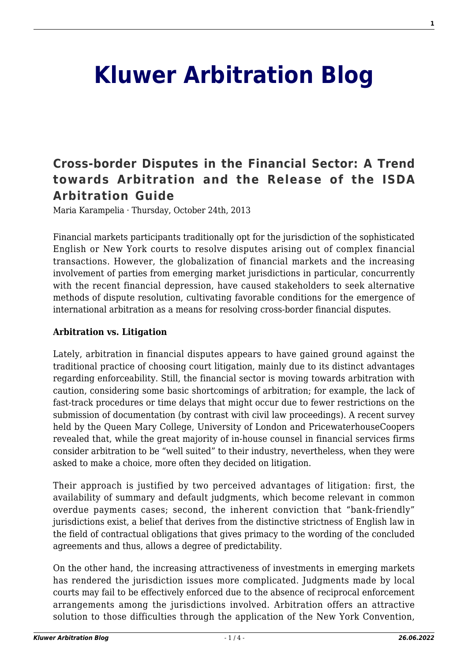# **[Kluwer Arbitration Blog](http://arbitrationblog.kluwerarbitration.com/)**

# **[Cross-border Disputes in the Financial Sector: A Trend](http://arbitrationblog.kluwerarbitration.com/2013/10/24/cross-border-disputes-in-the-financial-sector-a-trend-towards-arbitration-and-the-release-of-the-isda-arbitration-guide/) [towards Arbitration and the Release of the ISDA](http://arbitrationblog.kluwerarbitration.com/2013/10/24/cross-border-disputes-in-the-financial-sector-a-trend-towards-arbitration-and-the-release-of-the-isda-arbitration-guide/) [Arbitration Guide](http://arbitrationblog.kluwerarbitration.com/2013/10/24/cross-border-disputes-in-the-financial-sector-a-trend-towards-arbitration-and-the-release-of-the-isda-arbitration-guide/)**

Maria Karampelia · Thursday, October 24th, 2013

Financial markets participants traditionally opt for the jurisdiction of the sophisticated English or New York courts to resolve disputes arising out of complex financial transactions. However, the globalization of financial markets and the increasing involvement of parties from emerging market jurisdictions in particular, concurrently with the recent financial depression, have caused stakeholders to seek alternative methods of dispute resolution, cultivating favorable conditions for the emergence of international arbitration as a means for resolving cross-border financial disputes.

### **Arbitration vs. Litigation**

Lately, arbitration in financial disputes appears to have gained ground against the traditional practice of choosing court litigation, mainly due to its distinct advantages regarding enforceability. Still, the financial sector is moving towards arbitration with caution, considering some basic shortcomings of arbitration; for example, the lack of fast-track procedures or time delays that might occur due to fewer restrictions on the submission of documentation (by contrast with civil law proceedings). A recent survey held by the Queen Mary College, University of London and PricewaterhouseCoopers revealed that, while the great majority of in-house counsel in financial services firms consider arbitration to be "well suited" to their industry, nevertheless, when they were asked to make a choice, more often they decided on litigation.

Their approach is justified by two perceived advantages of litigation: first, the availability of summary and default judgments, which become relevant in common overdue payments cases; second, the inherent conviction that "bank-friendly" jurisdictions exist, a belief that derives from the distinctive strictness of English law in the field of contractual obligations that gives primacy to the wording of the concluded agreements and thus, allows a degree of predictability.

On the other hand, the increasing attractiveness of investments in emerging markets has rendered the jurisdiction issues more complicated. Judgments made by local courts may fail to be effectively enforced due to the absence of reciprocal enforcement arrangements among the jurisdictions involved. Arbitration offers an attractive solution to those difficulties through the application of the New York Convention,

**1**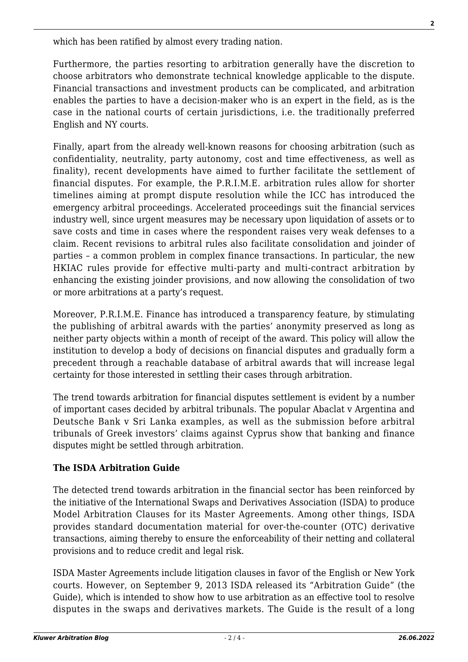which has been ratified by almost every trading nation.

Furthermore, the parties resorting to arbitration generally have the discretion to choose arbitrators who demonstrate technical knowledge applicable to the dispute. Financial transactions and investment products can be complicated, and arbitration enables the parties to have a decision-maker who is an expert in the field, as is the case in the national courts of certain jurisdictions, i.e. the traditionally preferred English and NY courts.

Finally, apart from the already well-known reasons for choosing arbitration (such as confidentiality, neutrality, party autonomy, cost and time effectiveness, as well as finality), recent developments have aimed to further facilitate the settlement of financial disputes. For example, the P.R.I.M.E. arbitration rules allow for shorter timelines aiming at prompt dispute resolution while the ICC has introduced the emergency arbitral proceedings. Accelerated proceedings suit the financial services industry well, since urgent measures may be necessary upon liquidation of assets or to save costs and time in cases where the respondent raises very weak defenses to a claim. Recent revisions to arbitral rules also facilitate consolidation and joinder of parties – a common problem in complex finance transactions. In particular, the new HKIAC rules provide for effective multi-party and multi-contract arbitration by enhancing the existing joinder provisions, and now allowing the consolidation of two or more arbitrations at a party's request.

Moreover, P.R.I.M.E. Finance has introduced a transparency feature, by stimulating the publishing of arbitral awards with the parties' anonymity preserved as long as neither party objects within a month of receipt of the award. This policy will allow the institution to develop a body of decisions on financial disputes and gradually form a precedent through a reachable database of arbitral awards that will increase legal certainty for those interested in settling their cases through arbitration.

The trend towards arbitration for financial disputes settlement is evident by a number of important cases decided by arbitral tribunals. The popular Abaclat v Argentina and Deutsche Bank v Sri Lanka examples, as well as the submission before arbitral tribunals of Greek investors' claims against Cyprus show that banking and finance disputes might be settled through arbitration.

# **The ISDA Arbitration Guide**

The detected trend towards arbitration in the financial sector has been reinforced by the initiative of the International Swaps and Derivatives Association (ISDA) to produce Model Arbitration Clauses for its Master Agreements. Among other things, ISDA provides standard documentation material for over-the-counter (OTC) derivative transactions, aiming thereby to ensure the enforceability of their netting and collateral provisions and to reduce credit and legal risk.

ISDA Master Agreements include litigation clauses in favor of the English or New York courts. However, on September 9, 2013 ISDA released its "Arbitration Guide" (the Guide), which is intended to show how to use arbitration as an effective tool to resolve disputes in the swaps and derivatives markets. The Guide is the result of a long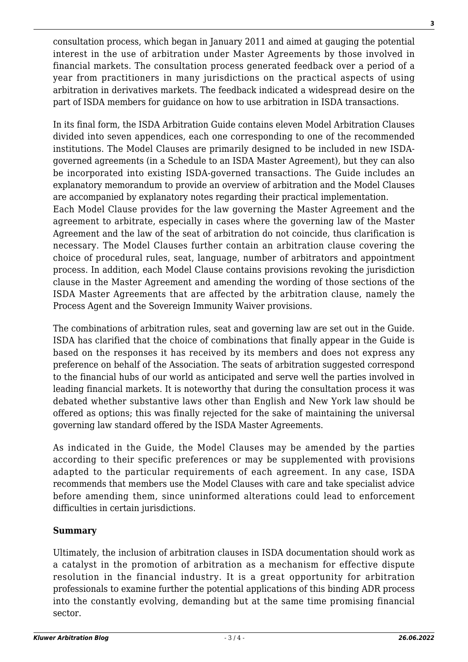consultation process, which began in January 2011 and aimed at gauging the potential interest in the use of arbitration under Master Agreements by those involved in financial markets. The consultation process generated feedback over a period of a year from practitioners in many jurisdictions on the practical aspects of using arbitration in derivatives markets. The feedback indicated a widespread desire on the part of ISDA members for guidance on how to use arbitration in ISDA transactions.

In its final form, the ISDA Arbitration Guide contains eleven Model Arbitration Clauses divided into seven appendices, each one corresponding to one of the recommended institutions. The Model Clauses are primarily designed to be included in new ISDAgoverned agreements (in a Schedule to an ISDA Master Agreement), but they can also be incorporated into existing ISDA-governed transactions. The Guide includes an explanatory memorandum to provide an overview of arbitration and the Model Clauses are accompanied by explanatory notes regarding their practical implementation.

Each Model Clause provides for the law governing the Master Agreement and the agreement to arbitrate, especially in cases where the governing law of the Master Agreement and the law of the seat of arbitration do not coincide, thus clarification is necessary. The Model Clauses further contain an arbitration clause covering the choice of procedural rules, seat, language, number of arbitrators and appointment process. In addition, each Model Clause contains provisions revoking the jurisdiction clause in the Master Agreement and amending the wording of those sections of the ISDA Master Agreements that are affected by the arbitration clause, namely the Process Agent and the Sovereign Immunity Waiver provisions.

The combinations of arbitration rules, seat and governing law are set out in the Guide. ISDA has clarified that the choice of combinations that finally appear in the Guide is based on the responses it has received by its members and does not express any preference on behalf of the Association. The seats of arbitration suggested correspond to the financial hubs of our world as anticipated and serve well the parties involved in leading financial markets. It is noteworthy that during the consultation process it was debated whether substantive laws other than English and New York law should be offered as options; this was finally rejected for the sake of maintaining the universal governing law standard offered by the ISDA Master Agreements.

As indicated in the Guide, the Model Clauses may be amended by the parties according to their specific preferences or may be supplemented with provisions adapted to the particular requirements of each agreement. In any case, ISDA recommends that members use the Model Clauses with care and take specialist advice before amending them, since uninformed alterations could lead to enforcement difficulties in certain jurisdictions.

## **Summary**

Ultimately, the inclusion of arbitration clauses in ISDA documentation should work as a catalyst in the promotion of arbitration as a mechanism for effective dispute resolution in the financial industry. It is a great opportunity for arbitration professionals to examine further the potential applications of this binding ADR process into the constantly evolving, demanding but at the same time promising financial sector.